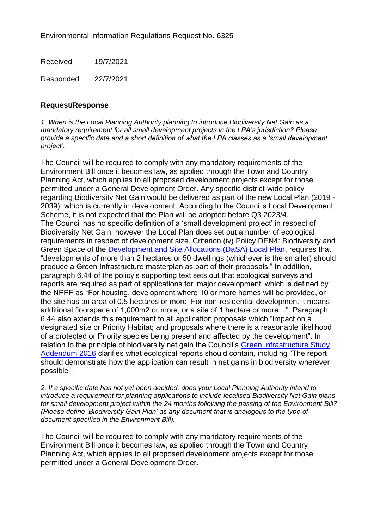Environmental Information Regulations Request No. 6325

Received 19/7/2021

Responded 22/7/2021

## **Request/Response**

*1. When is the Local Planning Authority planning to introduce Biodiversity Net Gain as a mandatory requirement for all small development projects in the LPA's jurisdiction? Please provide a specific date and a short definition of what the LPA classes as a 'small development project'.*

The Council will be required to comply with any mandatory requirements of the Environment Bill once it becomes law, as applied through the Town and Country Planning Act, which applies to all proposed development projects except for those permitted under a General Development Order. Any specific district-wide policy regarding Biodiversity Net Gain would be delivered as part of the new Local Plan (2019 - 2039), which is currently in development. According to the Council's Local Development Scheme, it is not expected that the Plan will be adopted before Q3 2023/4. The Council has no specific definition of a 'small development project' in respect of Biodiversity Net Gain, however the Local Plan does set out a number of ecological requirements in respect of development size. Criterion (iv) Policy DEN4: Biodiversity and Green Space of the [Development and Site Allocations \(DaSA\) Local Plan,](https://www.rother.gov.uk/wp-content/uploads/2020/01/DaSA_Adopted_December_2019_Web.pdf) requires that "developments of more than 2 hectares or 50 dwellings (whichever is the smaller) should produce a Green Infrastructure masterplan as part of their proposals." In addition, paragraph 6.44 of the policy's supporting text sets out that ecological surveys and reports are required as part of applications for 'major development' which is defined by the NPPF as "For housing, development where 10 or more homes will be provided, or the site has an area of 0.5 hectares or more. For non-residential development it means additional floorspace of 1,000m2 or more, or a site of 1 hectare or more…". Paragraph 6.44 also extends this requirement to all application proposals which "impact on a designated site or Priority Habitat; and proposals where there is a reasonable likelihood of a protected or Priority species being present and affected by the development". In relation to the principle of biodiversity net gain the Council's Green Infrastructure Study [Addendum 2016](https://www.rother.gov.uk/wp-content/uploads/2020/01/Green_Infrastructure_Background_Paper_Addendum_Nov16.pdf) clarifies what ecological reports should contain, including "The report should demonstrate how the application can result in net gains in biodiversity wherever possible".

*2. If a specific date has not yet been decided, does your Local Planning Authority intend to introduce a requirement for planning applications to include localised Biodiversity Net Gain plans for small development project within the 24 months following the passing of the Environment Bill? (Please define 'Biodiversity Gain Plan' as any document that is analogous to the type of document specified in the Environment Bill).*

The Council will be required to comply with any mandatory requirements of the Environment Bill once it becomes law, as applied through the Town and Country Planning Act, which applies to all proposed development projects except for those permitted under a General Development Order.